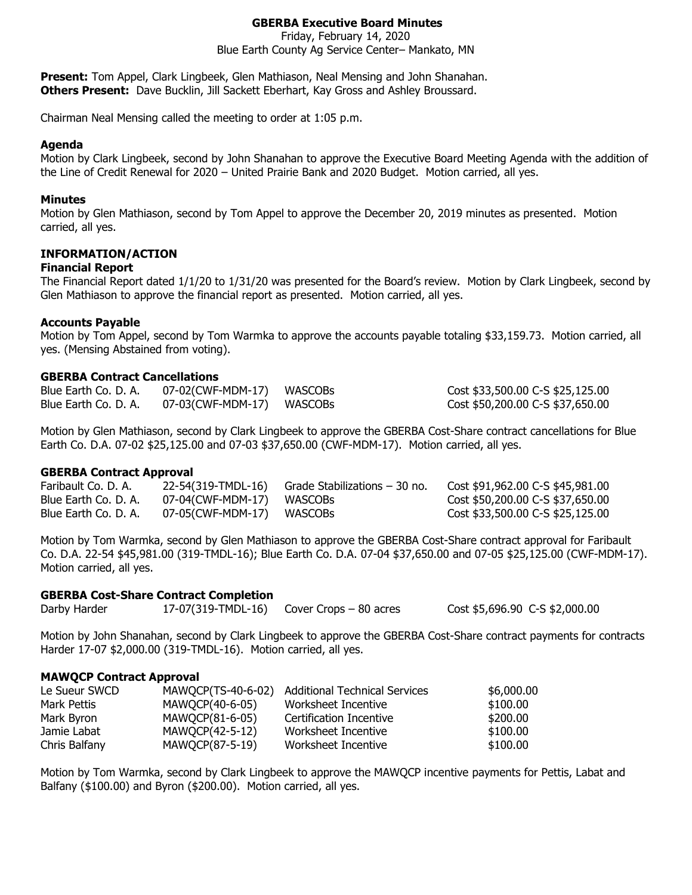# **GBERBA Executive Board Minutes**

Friday, February 14, 2020 Blue Earth County Ag Service Center– Mankato, MN

**Present:** Tom Appel, Clark Lingbeek, Glen Mathiason, Neal Mensing and John Shanahan. **Others Present:** Dave Bucklin, Jill Sackett Eberhart, Kay Gross and Ashley Broussard.

Chairman Neal Mensing called the meeting to order at 1:05 p.m.

### **Agenda**

Motion by Clark Lingbeek, second by John Shanahan to approve the Executive Board Meeting Agenda with the addition of the Line of Credit Renewal for 2020 – United Prairie Bank and 2020 Budget. Motion carried, all yes.

### **Minutes**

Motion by Glen Mathiason, second by Tom Appel to approve the December 20, 2019 minutes as presented. Motion carried, all yes.

### **INFORMATION/ACTION**

### **Financial Report**

The Financial Report dated 1/1/20 to 1/31/20 was presented for the Board's review. Motion by Clark Lingbeek, second by Glen Mathiason to approve the financial report as presented. Motion carried, all yes.

### **Accounts Payable**

Motion by Tom Appel, second by Tom Warmka to approve the accounts payable totaling \$33,159.73. Motion carried, all yes. (Mensing Abstained from voting).

### **GBERBA Contract Cancellations**

| Blue Earth Co. D. A. | 07-02(CWF-MDM-17) WASCOBs | Cost \$33,500.00 C-S \$25,125.00 |
|----------------------|---------------------------|----------------------------------|
| Blue Earth Co. D. A. | 07-03(CWF-MDM-17) WASCOBs | Cost \$50,200.00 C-S \$37,650.00 |

Motion by Glen Mathiason, second by Clark Lingbeek to approve the GBERBA Cost-Share contract cancellations for Blue Earth Co. D.A. 07-02 \$25,125.00 and 07-03 \$37,650.00 (CWF-MDM-17). Motion carried, all yes.

### **GBERBA Contract Approval**

| Faribault Co. D. A.  | 22-54(319-TMDL-16)        | - Grade Stabilizations – 30 no. | Cost \$91,962.00 C-S \$45,981.00 |
|----------------------|---------------------------|---------------------------------|----------------------------------|
| Blue Earth Co. D. A. | 07-04(CWF-MDM-17) WASCOBs |                                 | Cost \$50,200.00 C-S \$37,650.00 |
| Blue Earth Co. D. A. | 07-05(CWF-MDM-17) WASCOBs |                                 | Cost \$33,500.00 C-S \$25,125.00 |

Motion by Tom Warmka, second by Glen Mathiason to approve the GBERBA Cost-Share contract approval for Faribault Co. D.A. 22-54 \$45,981.00 (319-TMDL-16); Blue Earth Co. D.A. 07-04 \$37,650.00 and 07-05 \$25,125.00 (CWF-MDM-17). Motion carried, all yes.

# **GBERBA Cost-Share Contract Completion**

Darby Harder 17-07(319-TMDL-16) Cover Crops – 80 acres Cost \$5,696.90 C-S \$2,000.00

Motion by John Shanahan, second by Clark Lingbeek to approve the GBERBA Cost-Share contract payments for contracts Harder 17-07 \$2,000.00 (319-TMDL-16). Motion carried, all yes.

### **MAWQCP Contract Approval**

| Le Sueur SWCD | MAWQCP(TS-40-6-02) | Additional Technical Services | \$6,000.00 |
|---------------|--------------------|-------------------------------|------------|
| Mark Pettis   | MAWQCP(40-6-05)    | Worksheet Incentive           | \$100.00   |
| Mark Byron    | MAWQCP(81-6-05)    | Certification Incentive       | \$200.00   |
| Jamie Labat   | MAWQCP(42-5-12)    | Worksheet Incentive           | \$100.00   |
| Chris Balfany | MAWQCP(87-5-19)    | Worksheet Incentive           | \$100.00   |

Motion by Tom Warmka, second by Clark Lingbeek to approve the MAWQCP incentive payments for Pettis, Labat and Balfany (\$100.00) and Byron (\$200.00). Motion carried, all yes.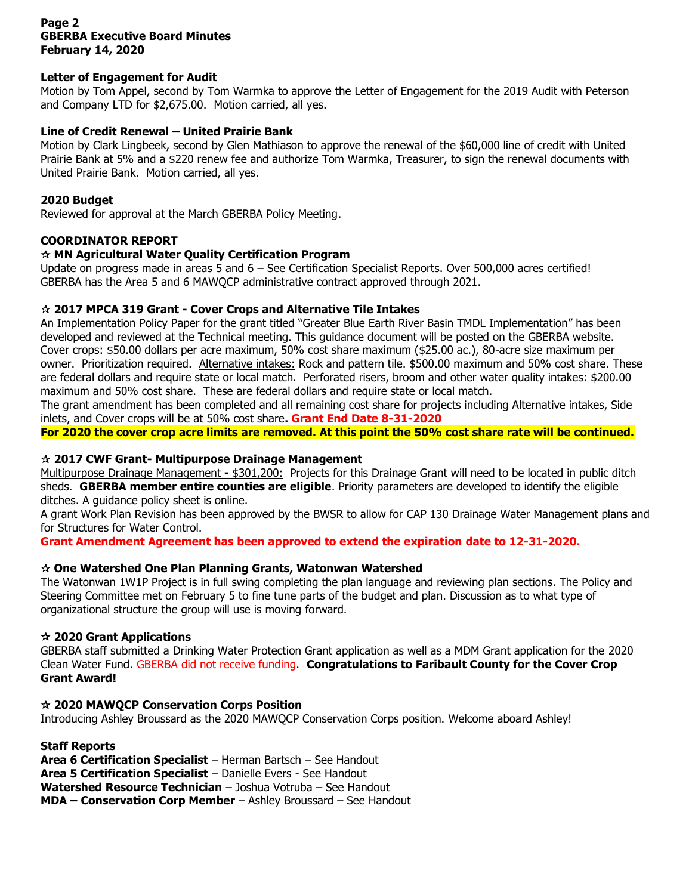## **Page 2 GBERBA Executive Board Minutes February 14, 2020**

## **Letter of Engagement for Audit**

Motion by Tom Appel, second by Tom Warmka to approve the Letter of Engagement for the 2019 Audit with Peterson and Company LTD for \$2,675.00. Motion carried, all yes.

## **Line of Credit Renewal – United Prairie Bank**

Motion by Clark Lingbeek, second by Glen Mathiason to approve the renewal of the \$60,000 line of credit with United Prairie Bank at 5% and a \$220 renew fee and authorize Tom Warmka, Treasurer, to sign the renewal documents with United Prairie Bank. Motion carried, all yes.

### **2020 Budget**

Reviewed for approval at the March GBERBA Policy Meeting.

### **COORDINATOR REPORT**

## **MN Agricultural Water Quality Certification Program**

Update on progress made in areas 5 and 6 – See Certification Specialist Reports. Over 500,000 acres certified! GBERBA has the Area 5 and 6 MAWQCP administrative contract approved through 2021.

### **2017 MPCA 319 Grant - Cover Crops and Alternative Tile Intakes**

An Implementation Policy Paper for the grant titled "Greater Blue Earth River Basin TMDL Implementation" has been developed and reviewed at the Technical meeting. This guidance document will be posted on the GBERBA website. Cover crops: \$50.00 dollars per acre maximum, 50% cost share maximum (\$25.00 ac.), 80-acre size maximum per owner. Prioritization required. Alternative intakes: Rock and pattern tile. \$500.00 maximum and 50% cost share. These are federal dollars and require state or local match. Perforated risers, broom and other water quality intakes: \$200.00 maximum and 50% cost share. These are federal dollars and require state or local match.

The grant amendment has been completed and all remaining cost share for projects including Alternative intakes, Side inlets, and Cover crops will be at 50% cost share**. Grant End Date 8-31-2020**

**For 2020 the cover crop acre limits are removed. At this point the 50% cost share rate will be continued.**

## **2017 CWF Grant- Multipurpose Drainage Management**

Multipurpose Drainage Management **-** \$301,200: Projects for this Drainage Grant will need to be located in public ditch sheds. **GBERBA member entire counties are eligible**. Priority parameters are developed to identify the eligible ditches. A guidance policy sheet is online.

A grant Work Plan Revision has been approved by the BWSR to allow for CAP 130 Drainage Water Management plans and for Structures for Water Control.

**Grant Amendment Agreement has been approved to extend the expiration date to 12-31-2020.**

## **One Watershed One Plan Planning Grants, Watonwan Watershed**

The Watonwan 1W1P Project is in full swing completing the plan language and reviewing plan sections. The Policy and Steering Committee met on February 5 to fine tune parts of the budget and plan. Discussion as to what type of organizational structure the group will use is moving forward.

## **2020 Grant Applications**

GBERBA staff submitted a Drinking Water Protection Grant application as well as a MDM Grant application for the 2020 Clean Water Fund. GBERBA did not receive funding. **Congratulations to Faribault County for the Cover Crop Grant Award!**

### **2020 MAWQCP Conservation Corps Position**

Introducing Ashley Broussard as the 2020 MAWQCP Conservation Corps position. Welcome aboard Ashley!

### **Staff Reports**

**Area 6 Certification Specialist** – Herman Bartsch – See Handout **Area 5 Certification Specialist** – Danielle Evers - See Handout **Watershed Resource Technician** – Joshua Votruba – See Handout **MDA – Conservation Corp Member** – Ashley Broussard – See Handout